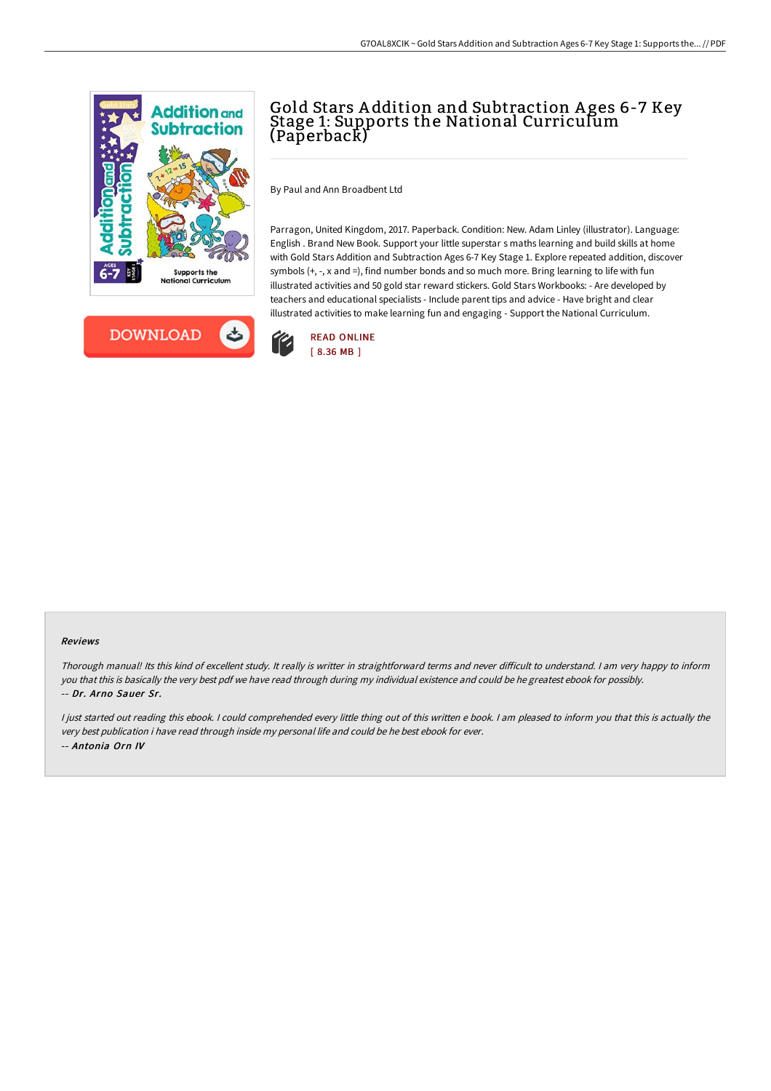



## Gold Stars A ddition and Subtraction A ges 6-7 Key Stage 1: Supports the National Curriculum (Paperback)

By Paul and Ann Broadbent Ltd

Parragon, United Kingdom, 2017. Paperback. Condition: New. Adam Linley (illustrator). Language: English . Brand New Book. Support your little superstar s maths learning and build skills at home with Gold Stars Addition and Subtraction Ages 6-7 Key Stage 1. Explore repeated addition, discover symbols (+, -, x and =), find number bonds and so much more. Bring learning to life with fun illustrated activities and 50 gold star reward stickers. Gold Stars Workbooks: - Are developed by teachers and educational specialists - Include parent tips and advice - Have bright and clear illustrated activities to make learning fun and engaging - Support the National Curriculum.



## Reviews

Thorough manual! Its this kind of excellent study. It really is writter in straightforward terms and never difficult to understand. I am very happy to inform you that this is basically the very best pdf we have read through during my individual existence and could be he greatest ebook for possibly. -- Dr. Arno Sauer Sr.

<sup>I</sup> just started out reading this ebook. <sup>I</sup> could comprehended every little thing out of this written <sup>e</sup> book. <sup>I</sup> am pleased to inform you that this is actually the very best publication i have read through inside my personal life and could be he best ebook for ever. -- Antonia Orn IV